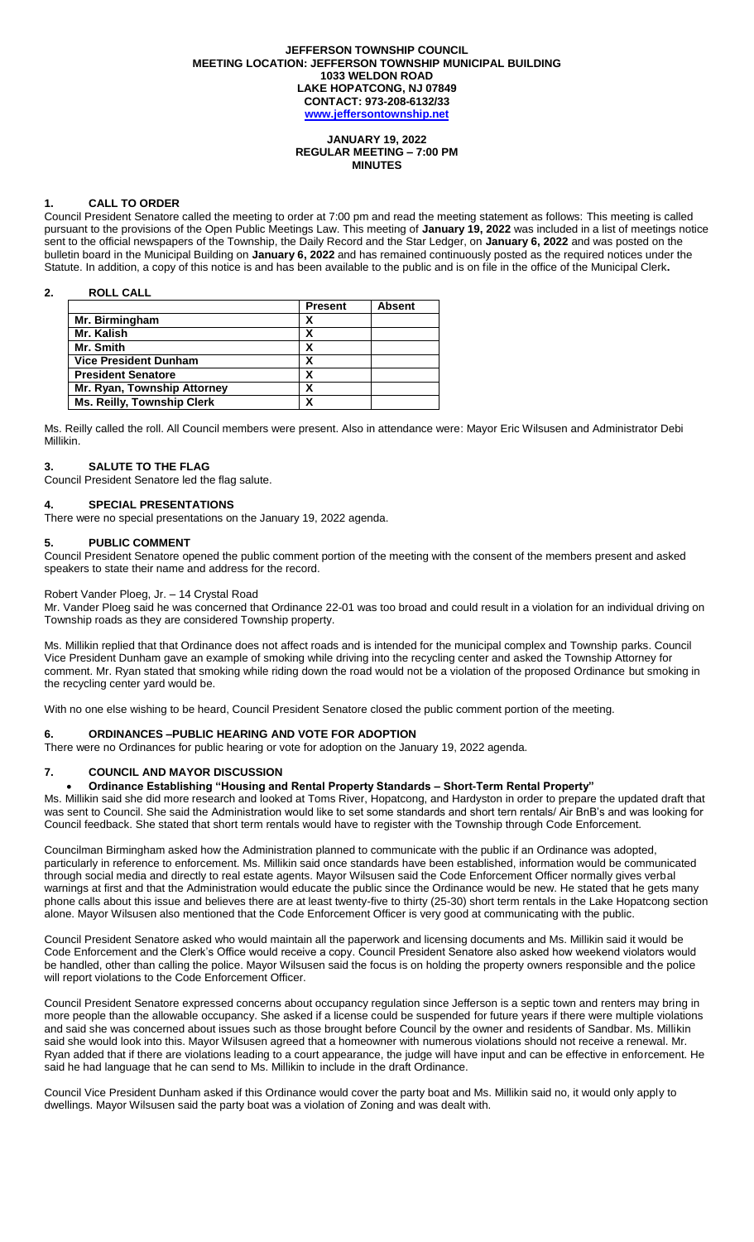#### **JEFFERSON TOWNSHIP COUNCIL MEETING LOCATION: JEFFERSON TOWNSHIP MUNICIPAL BUILDING 1033 WELDON ROAD LAKE HOPATCONG, NJ 07849 CONTACT: 973-208-6132/33 [www.jeffersontownship.net](http://www.jeffersontownship.net/)**

### **JANUARY 19, 2022 REGULAR MEETING – 7:00 PM MINUTES**

## **1. CALL TO ORDER**

Council President Senatore called the meeting to order at 7:00 pm and read the meeting statement as follows: This meeting is called pursuant to the provisions of the Open Public Meetings Law. This meeting of **January 19, 2022** was included in a list of meetings notice sent to the official newspapers of the Township, the Daily Record and the Star Ledger, on **January 6, 2022** and was posted on the bulletin board in the Municipal Building on **January 6, 2022** and has remained continuously posted as the required notices under the Statute. In addition, a copy of this notice is and has been available to the public and is on file in the office of the Municipal Clerk**.** 

## **2. ROLL CALL**

|                                   | <b>Present</b> | <b>Absent</b> |
|-----------------------------------|----------------|---------------|
| Mr. Birmingham                    | х              |               |
| Mr. Kalish                        | χ              |               |
| Mr. Smith                         |                |               |
| <b>Vice President Dunham</b>      |                |               |
| <b>President Senatore</b>         | х              |               |
| Mr. Ryan, Township Attorney       | χ              |               |
| <b>Ms. Reilly, Township Clerk</b> |                |               |

Ms. Reilly called the roll. All Council members were present. Also in attendance were: Mayor Eric Wilsusen and Administrator Debi Millikin.

## **3. SALUTE TO THE FLAG**

Council President Senatore led the flag salute.

## **4. [SPECIAL PRESENTATIONS](file://///JR2DATA/Clerk/Council%20Documents/Meetings/2018%20Meetings/EAGLE%20SCOUTS)**

There were no special presentations on the January 19, 2022 agenda.

### **5. PUBLIC COMMENT**

Council President Senatore opened the public comment portion of the meeting with the consent of the members present and asked speakers to state their name and address for the record.

## Robert Vander Ploeg, Jr. – 14 Crystal Road

Mr. Vander Ploeg said he was concerned that Ordinance 22-01 was too broad and could result in a violation for an individual driving on Township roads as they are considered Township property.

Ms. Millikin replied that that Ordinance does not affect roads and is intended for the municipal complex and Township parks. Council Vice President Dunham gave an example of smoking while driving into the recycling center and asked the Township Attorney for comment. Mr. Ryan stated that smoking while riding down the road would not be a violation of the proposed Ordinance but smoking in the recycling center yard would be.

With no one else wishing to be heard, Council President Senatore closed the public comment portion of the meeting.

### **6. ORDINANCES –PUBLIC HEARING AND VOTE FOR ADOPTION**

There were no Ordinances for public hearing or vote for adoption on the January 19, 2022 agenda.

# **7. COUNCIL AND MAYOR DISCUSSION**

## **Ordinance Establishing "Housing and Rental Property Standards – Short-Term Rental Property"**

Ms. Millikin said she did more research and looked at Toms River, Hopatcong, and Hardyston in order to prepare the updated draft that was sent to Council. She said the Administration would like to set some standards and short tern rentals/ Air BnB's and was looking for Council feedback. She stated that short term rentals would have to register with the Township through Code Enforcement.

Councilman Birmingham asked how the Administration planned to communicate with the public if an Ordinance was adopted, particularly in reference to enforcement. Ms. Millikin said once standards have been established, information would be communicated through social media and directly to real estate agents. Mayor Wilsusen said the Code Enforcement Officer normally gives verbal warnings at first and that the Administration would educate the public since the Ordinance would be new. He stated that he gets many phone calls about this issue and believes there are at least twenty-five to thirty (25-30) short term rentals in the Lake Hopatcong section alone. Mayor Wilsusen also mentioned that the Code Enforcement Officer is very good at communicating with the public.

Council President Senatore asked who would maintain all the paperwork and licensing documents and Ms. Millikin said it would be Code Enforcement and the Clerk's Office would receive a copy. Council President Senatore also asked how weekend violators would be handled, other than calling the police. Mayor Wilsusen said the focus is on holding the property owners responsible and the police will report violations to the Code Enforcement Officer.

Council President Senatore expressed concerns about occupancy regulation since Jefferson is a septic town and renters may bring in more people than the allowable occupancy. She asked if a license could be suspended for future years if there were multiple violations and said she was concerned about issues such as those brought before Council by the owner and residents of Sandbar. Ms. Millikin said she would look into this. Mayor Wilsusen agreed that a homeowner with numerous violations should not receive a renewal. Mr. Ryan added that if there are violations leading to a court appearance, the judge will have input and can be effective in enforcement. He said he had language that he can send to Ms. Millikin to include in the draft Ordinance.

Council Vice President Dunham asked if this Ordinance would cover the party boat and Ms. Millikin said no, it would only apply to dwellings. Mayor Wilsusen said the party boat was a violation of Zoning and was dealt with.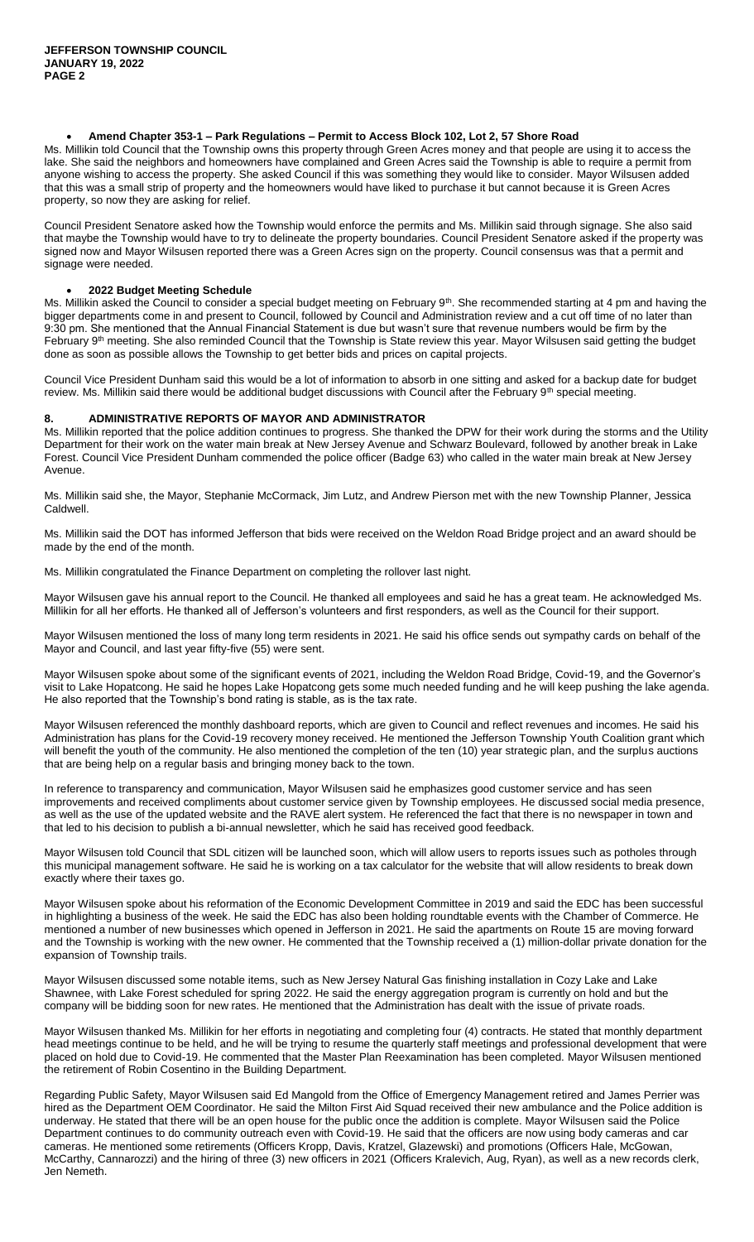## **Amend Chapter 353-1 – Park Regulations – Permit to Access Block 102, Lot 2, 57 Shore Road**

Ms. Millikin told Council that the Township owns this property through Green Acres money and that people are using it to access the lake. She said the neighbors and homeowners have complained and Green Acres said the Township is able to require a permit from anyone wishing to access the property. She asked Council if this was something they would like to consider. Mayor Wilsusen added that this was a small strip of property and the homeowners would have liked to purchase it but cannot because it is Green Acres property, so now they are asking for relief.

Council President Senatore asked how the Township would enforce the permits and Ms. Millikin said through signage. She also said that maybe the Township would have to try to delineate the property boundaries. Council President Senatore asked if the property was signed now and Mayor Wilsusen reported there was a Green Acres sign on the property. Council consensus was that a permit and signage were needed.

## **2022 Budget Meeting Schedule**

Ms. Millikin asked the Council to consider a special budget meeting on February 9<sup>th</sup>. She recommended starting at 4 pm and having the bigger departments come in and present to Council, followed by Council and Administration review and a cut off time of no later than 9:30 pm. She mentioned that the Annual Financial Statement is due but wasn't sure that revenue numbers would be firm by the February 9<sup>th</sup> meeting. She also reminded Council that the Township is State review this year. Mayor Wilsusen said getting the budget done as soon as possible allows the Township to get better bids and prices on capital projects.

Council Vice President Dunham said this would be a lot of information to absorb in one sitting and asked for a backup date for budget review. Ms. Millikin said there would be additional budget discussions with Council after the February 9<sup>th</sup> special meeting.

# **8. ADMINISTRATIVE REPORTS OF MAYOR AND ADMINISTRATOR**

Ms. Millikin reported that the police addition continues to progress. She thanked the DPW for their work during the storms and the Utility Department for their work on the water main break at New Jersey Avenue and Schwarz Boulevard, followed by another break in Lake Forest. Council Vice President Dunham commended the police officer (Badge 63) who called in the water main break at New Jersey Avenue.

Ms. Millikin said she, the Mayor, Stephanie McCormack, Jim Lutz, and Andrew Pierson met with the new Township Planner, Jessica Caldwell.

Ms. Millikin said the DOT has informed Jefferson that bids were received on the Weldon Road Bridge project and an award should be made by the end of the month.

Ms. Millikin congratulated the Finance Department on completing the rollover last night.

Mayor Wilsusen gave his annual report to the Council. He thanked all employees and said he has a great team. He acknowledged Ms. Millikin for all her efforts. He thanked all of Jefferson's volunteers and first responders, as well as the Council for their support.

Mayor Wilsusen mentioned the loss of many long term residents in 2021. He said his office sends out sympathy cards on behalf of the Mayor and Council, and last year fifty-five (55) were sent.

Mayor Wilsusen spoke about some of the significant events of 2021, including the Weldon Road Bridge, Covid-19, and the Governor's visit to Lake Hopatcong. He said he hopes Lake Hopatcong gets some much needed funding and he will keep pushing the lake agenda. He also reported that the Township's bond rating is stable, as is the tax rate.

Mayor Wilsusen referenced the monthly dashboard reports, which are given to Council and reflect revenues and incomes. He said his Administration has plans for the Covid-19 recovery money received. He mentioned the Jefferson Township Youth Coalition grant which will benefit the youth of the community. He also mentioned the completion of the ten (10) year strategic plan, and the surplus auctions that are being help on a regular basis and bringing money back to the town.

In reference to transparency and communication, Mayor Wilsusen said he emphasizes good customer service and has seen improvements and received compliments about customer service given by Township employees. He discussed social media presence, as well as the use of the updated website and the RAVE alert system. He referenced the fact that there is no newspaper in town and that led to his decision to publish a bi-annual newsletter, which he said has received good feedback.

Mayor Wilsusen told Council that SDL citizen will be launched soon, which will allow users to reports issues such as potholes through this municipal management software. He said he is working on a tax calculator for the website that will allow residents to break down exactly where their taxes go.

Mayor Wilsusen spoke about his reformation of the Economic Development Committee in 2019 and said the EDC has been successful in highlighting a business of the week. He said the EDC has also been holding roundtable events with the Chamber of Commerce. He mentioned a number of new businesses which opened in Jefferson in 2021. He said the apartments on Route 15 are moving forward and the Township is working with the new owner. He commented that the Township received a (1) million-dollar private donation for the expansion of Township trails.

Mayor Wilsusen discussed some notable items, such as New Jersey Natural Gas finishing installation in Cozy Lake and Lake Shawnee, with Lake Forest scheduled for spring 2022. He said the energy aggregation program is currently on hold and but the company will be bidding soon for new rates. He mentioned that the Administration has dealt with the issue of private roads.

Mayor Wilsusen thanked Ms. Millikin for her efforts in negotiating and completing four (4) contracts. He stated that monthly department head meetings continue to be held, and he will be trying to resume the quarterly staff meetings and professional development that were placed on hold due to Covid-19. He commented that the Master Plan Reexamination has been completed. Mayor Wilsusen mentioned the retirement of Robin Cosentino in the Building Department.

Regarding Public Safety, Mayor Wilsusen said Ed Mangold from the Office of Emergency Management retired and James Perrier was hired as the Department OEM Coordinator. He said the Milton First Aid Squad received their new ambulance and the Police addition is underway. He stated that there will be an open house for the public once the addition is complete. Mayor Wilsusen said the Police Department continues to do community outreach even with Covid-19. He said that the officers are now using body cameras and car cameras. He mentioned some retirements (Officers Kropp, Davis, Kratzel, Glazewski) and promotions (Officers Hale, McGowan, McCarthy, Cannarozzi) and the hiring of three (3) new officers in 2021 (Officers Kralevich, Aug, Ryan), as well as a new records clerk, Jen Nemeth.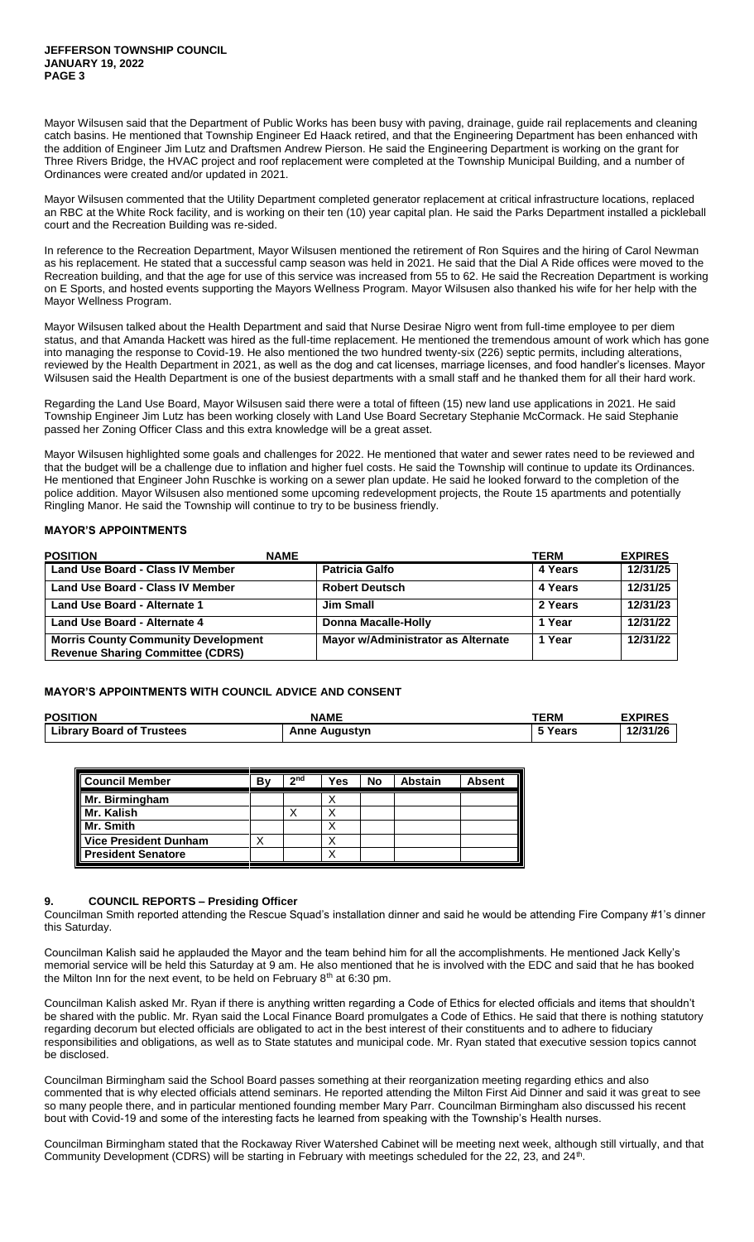Mayor Wilsusen said that the Department of Public Works has been busy with paving, drainage, guide rail replacements and cleaning catch basins. He mentioned that Township Engineer Ed Haack retired, and that the Engineering Department has been enhanced with the addition of Engineer Jim Lutz and Draftsmen Andrew Pierson. He said the Engineering Department is working on the grant for Three Rivers Bridge, the HVAC project and roof replacement were completed at the Township Municipal Building, and a number of Ordinances were created and/or updated in 2021.

Mayor Wilsusen commented that the Utility Department completed generator replacement at critical infrastructure locations, replaced an RBC at the White Rock facility, and is working on their ten (10) year capital plan. He said the Parks Department installed a pickleball court and the Recreation Building was re-sided.

In reference to the Recreation Department, Mayor Wilsusen mentioned the retirement of Ron Squires and the hiring of Carol Newman as his replacement. He stated that a successful camp season was held in 2021. He said that the Dial A Ride offices were moved to the Recreation building, and that the age for use of this service was increased from 55 to 62. He said the Recreation Department is working on E Sports, and hosted events supporting the Mayors Wellness Program. Mayor Wilsusen also thanked his wife for her help with the Mayor Wellness Program.

Mayor Wilsusen talked about the Health Department and said that Nurse Desirae Nigro went from full-time employee to per diem status, and that Amanda Hackett was hired as the full-time replacement. He mentioned the tremendous amount of work which has gone into managing the response to Covid-19. He also mentioned the two hundred twenty-six (226) septic permits, including alterations, reviewed by the Health Department in 2021, as well as the dog and cat licenses, marriage licenses, and food handler's licenses. Mayor Wilsusen said the Health Department is one of the busiest departments with a small staff and he thanked them for all their hard work.

Regarding the Land Use Board, Mayor Wilsusen said there were a total of fifteen (15) new land use applications in 2021. He said Township Engineer Jim Lutz has been working closely with Land Use Board Secretary Stephanie McCormack. He said Stephanie passed her Zoning Officer Class and this extra knowledge will be a great asset.

Mayor Wilsusen highlighted some goals and challenges for 2022. He mentioned that water and sewer rates need to be reviewed and that the budget will be a challenge due to inflation and higher fuel costs. He said the Township will continue to update its Ordinances. He mentioned that Engineer John Ruschke is working on a sewer plan update. He said he looked forward to the completion of the police addition. Mayor Wilsusen also mentioned some upcoming redevelopment projects, the Route 15 apartments and potentially Ringling Manor. He said the Township will continue to try to be business friendly.

# **MAYOR'S APPOINTMENTS**

| <b>POSITION</b>                                                                       | <b>NAME</b>                        | TERM    | <b>EXPIRES</b> |
|---------------------------------------------------------------------------------------|------------------------------------|---------|----------------|
| <b>Land Use Board - Class IV Member</b>                                               | <b>Patricia Galfo</b>              | 4 Years | 12/31/25       |
| <b>Land Use Board - Class IV Member</b>                                               | <b>Robert Deutsch</b>              | 4 Years | 12/31/25       |
| <b>Land Use Board - Alternate 1</b>                                                   | <b>Jim Small</b>                   | 2 Years | 12/31/23       |
| Land Use Board - Alternate 4                                                          | Donna Macalle-Holly                | 1 Year  | 12/31/22       |
| <b>Morris County Community Development</b><br><b>Revenue Sharing Committee (CDRS)</b> | Mayor w/Administrator as Alternate | 1 Year  | 12/31/22       |

# **MAYOR'S APPOINTMENTS WITH COUNCIL ADVICE AND CONSENT**

| <b>POSITION</b>                  | <b>NAME</b>          | TERM    | <b>EXPIRES</b> |
|----------------------------------|----------------------|---------|----------------|
| <b>Library Board of Trustees</b> | <b>Anne Augustyn</b> | 5 Years | 12/31/26       |

| <b>Council Member</b>        | В١ | 2 <sub>nd</sub> | Yes | No | <b>Abstain</b> | <b>Absent</b> |
|------------------------------|----|-----------------|-----|----|----------------|---------------|
| Mr. Birmingham               |    |                 |     |    |                |               |
| Mr. Kalish                   |    |                 |     |    |                |               |
| Mr. Smith                    |    |                 |     |    |                |               |
| <b>Vice President Dunham</b> |    |                 |     |    |                |               |
| <b>President Senatore</b>    |    |                 |     |    |                |               |

# **9. COUNCIL REPORTS – Presiding Officer**

Councilman Smith reported attending the Rescue Squad's installation dinner and said he would be attending Fire Company #1's dinner this Saturday.

Councilman Kalish said he applauded the Mayor and the team behind him for all the accomplishments. He mentioned Jack Kelly's memorial service will be held this Saturday at 9 am. He also mentioned that he is involved with the EDC and said that he has booked the Milton Inn for the next event, to be held on February  $8<sup>th</sup>$  at 6:30 pm.

Councilman Kalish asked Mr. Ryan if there is anything written regarding a Code of Ethics for elected officials and items that shouldn't be shared with the public. Mr. Ryan said the Local Finance Board promulgates a Code of Ethics. He said that there is nothing statutory regarding decorum but elected officials are obligated to act in the best interest of their constituents and to adhere to fiduciary responsibilities and obligations, as well as to State statutes and municipal code. Mr. Ryan stated that executive session topics cannot be disclosed.

Councilman Birmingham said the School Board passes something at their reorganization meeting regarding ethics and also commented that is why elected officials attend seminars. He reported attending the Milton First Aid Dinner and said it was great to see so many people there, and in particular mentioned founding member Mary Parr. Councilman Birmingham also discussed his recent bout with Covid-19 and some of the interesting facts he learned from speaking with the Township's Health nurses.

Councilman Birmingham stated that the Rockaway River Watershed Cabinet will be meeting next week, although still virtually, and that Community Development (CDRS) will be starting in February with meetings scheduled for the 22, 23, and 24<sup>th</sup>.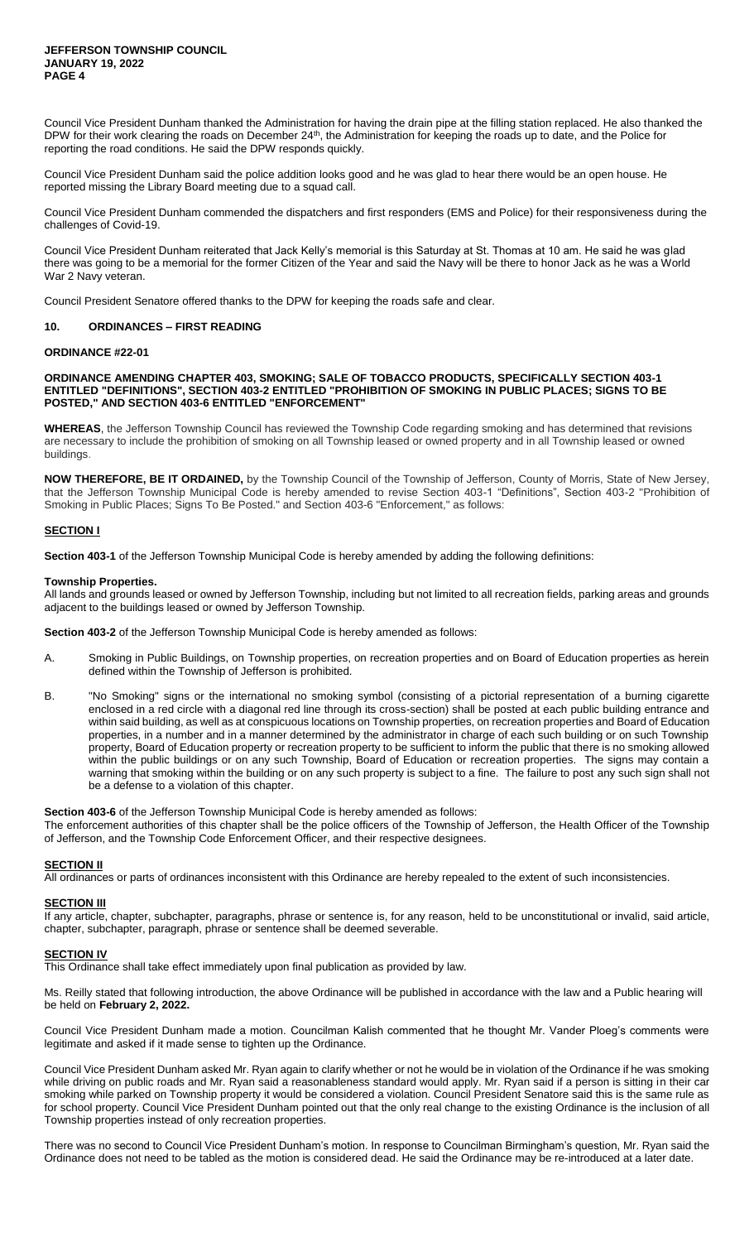Council Vice President Dunham thanked the Administration for having the drain pipe at the filling station replaced. He also thanked the DPW for their work clearing the roads on December 24<sup>th</sup>, the Administration for keeping the roads up to date, and the Police for reporting the road conditions. He said the DPW responds quickly.

Council Vice President Dunham said the police addition looks good and he was glad to hear there would be an open house. He reported missing the Library Board meeting due to a squad call.

Council Vice President Dunham commended the dispatchers and first responders (EMS and Police) for their responsiveness during the challenges of Covid-19.

Council Vice President Dunham reiterated that Jack Kelly's memorial is this Saturday at St. Thomas at 10 am. He said he was glad there was going to be a memorial for the former Citizen of the Year and said the Navy will be there to honor Jack as he was a World War 2 Navy veteran.

Council President Senatore offered thanks to the DPW for keeping the roads safe and clear.

## **10. ORDINANCES – FIRST READING**

## **ORDINANCE #22-01**

### **ORDINANCE AMENDING CHAPTER 403, SMOKING; SALE OF TOBACCO PRODUCTS, SPECIFICALLY SECTION 403-1 ENTITLED "DEFINITIONS", SECTION 403-2 ENTITLED "PROHIBITION OF SMOKING IN PUBLIC PLACES; SIGNS TO BE POSTED," AND SECTION 403-6 ENTITLED "ENFORCEMENT"**

**WHEREAS**, the Jefferson Township Council has reviewed the Township Code regarding smoking and has determined that revisions are necessary to include the prohibition of smoking on all Township leased or owned property and in all Township leased or owned buildings.

**NOW THEREFORE, BE IT ORDAINED,** by the Township Council of the Township of Jefferson, County of Morris, State of New Jersey, that the Jefferson Township Municipal Code is hereby amended to revise Section 403-1 "Definitions", Section 403-2 "Prohibition of Smoking in Public Places; Signs To Be Posted." and Section 403-6 "Enforcement," as follows:

## **SECTION I**

**Section 403-1** of the Jefferson Township Municipal Code is hereby amended by adding the following definitions:

#### **Township Properties.**

All lands and grounds leased or owned by Jefferson Township, including but not limited to all recreation fields, parking areas and grounds adjacent to the buildings leased or owned by Jefferson Township.

**Section 403-2** of the Jefferson Township Municipal Code is hereby amended as follows:

- A. Smoking in Public Buildings, on Township properties, on recreation properties and on Board of Education properties as herein defined within the Township of Jefferson is prohibited.
- B. "No Smoking" signs or the international no smoking symbol (consisting of a pictorial representation of a burning cigarette enclosed in a red circle with a diagonal red line through its cross-section) shall be posted at each public building entrance and within said building, as well as at conspicuous locations on Township properties, on recreation properties and Board of Education properties, in a number and in a manner determined by the administrator in charge of each such building or on such Township property, Board of Education property or recreation property to be sufficient to inform the public that there is no smoking allowed within the public buildings or on any such Township, Board of Education or recreation properties. The signs may contain a warning that smoking within the building or on any such property is subject to a fine. The failure to post any such sign shall not be a defense to a violation of this chapter.

**Section 403-6** of the Jefferson Township Municipal Code is hereby amended as follows:

The enforcement authorities of this chapter shall be the police officers of the Township of Jefferson, the Health Officer of the Township of Jefferson, and the Township Code Enforcement Officer, and their respective designees.

### **SECTION II**

All ordinances or parts of ordinances inconsistent with this Ordinance are hereby repealed to the extent of such inconsistencies.

#### **SECTION III**

If any article, chapter, subchapter, paragraphs, phrase or sentence is, for any reason, held to be unconstitutional or invalid, said article, chapter, subchapter, paragraph, phrase or sentence shall be deemed severable.

### **SECTION IV**

This Ordinance shall take effect immediately upon final publication as provided by law.

Ms. Reilly stated that following introduction, the above Ordinance will be published in accordance with the law and a Public hearing will be held on **February 2, 2022.**

Council Vice President Dunham made a motion. Councilman Kalish commented that he thought Mr. Vander Ploeg's comments were legitimate and asked if it made sense to tighten up the Ordinance.

Council Vice President Dunham asked Mr. Ryan again to clarify whether or not he would be in violation of the Ordinance if he was smoking while driving on public roads and Mr. Ryan said a reasonableness standard would apply. Mr. Ryan said if a person is sitting in their car smoking while parked on Township property it would be considered a violation. Council President Senatore said this is the same rule as for school property. Council Vice President Dunham pointed out that the only real change to the existing Ordinance is the inclusion of all Township properties instead of only recreation properties.

There was no second to Council Vice President Dunham's motion. In response to Councilman Birmingham's question, Mr. Ryan said the Ordinance does not need to be tabled as the motion is considered dead. He said the Ordinance may be re-introduced at a later date.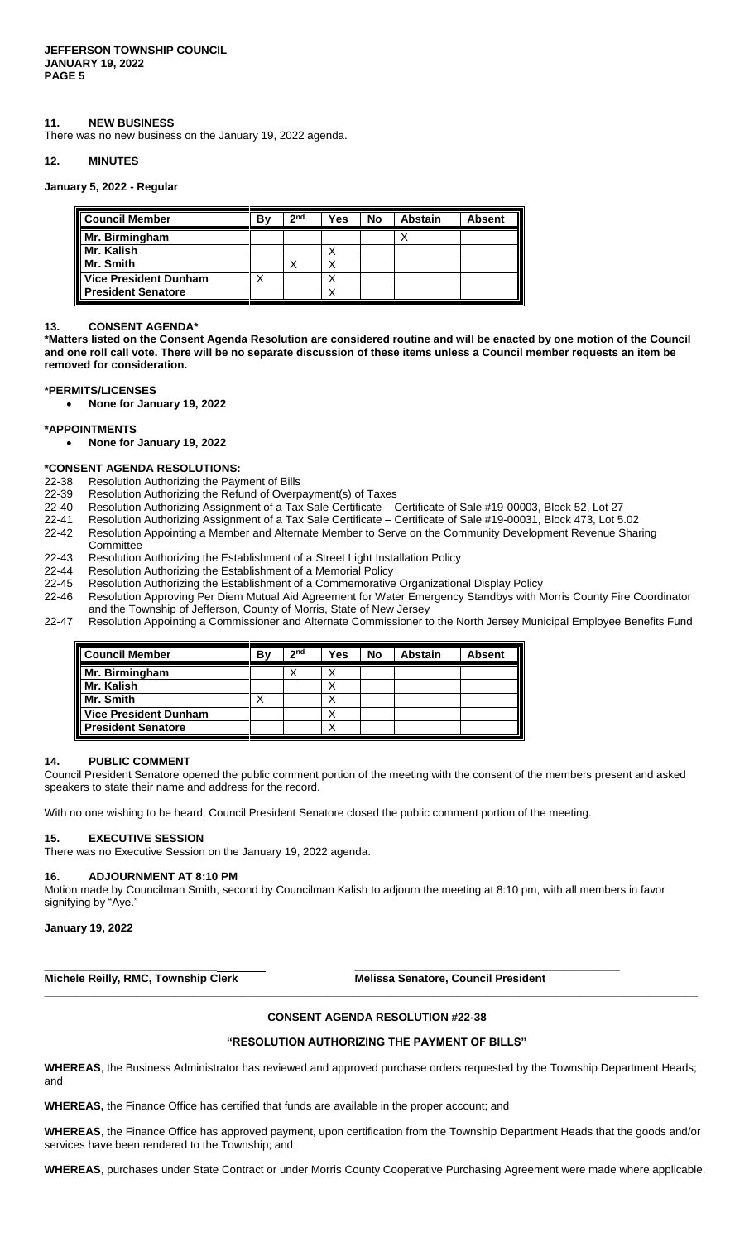## **11. NEW BUSINESS**

There was no new business on the January 19, 2022 agenda.

### **12. MINUTES**

### **January 5, 2022 - Regular**

| Council Member            | B٧ | 2 <sub>nd</sub> | Yes | No | <b>Abstain</b> | <b>Absent</b> |
|---------------------------|----|-----------------|-----|----|----------------|---------------|
| Mr. Birmingham            |    |                 |     |    |                |               |
| I Mr. Kalish              |    |                 |     |    |                |               |
| Mr. Smith                 |    |                 |     |    |                |               |
| Vice President Dunham     |    |                 |     |    |                |               |
| <b>President Senatore</b> |    |                 |     |    |                |               |

### **13. CONSENT AGENDA\***

**\*Matters listed on the Consent Agenda Resolution are considered routine and will be enacted by one motion of the Council and one roll call vote. There will be no separate discussion of these items unless a Council member requests an item be removed for consideration.**

#### **\*PERMITS/LICENSES**

**None for January 19, 2022**

#### **\*APPOINTMENTS**

**None for January 19, 2022**

### **\*CONSENT AGENDA RESOLUTIONS:**

- 22-38 Resolution Authorizing the Payment of Bills
- 22-39 Resolution Authorizing the Refund of Overpayment(s) of Taxes
- 22-40 Resolution Authorizing Assignment of a Tax Sale Certificate Certificate of Sale #19-00003, Block 52, Lot 27
- 22-41 Resolution Authorizing Assignment of a Tax Sale Certificate Certificate of Sale #19-00031, Block 473, Lot 5.02
- 22-42 Resolution Appointing a Member and Alternate Member to Serve on the Community Development Revenue Sharing **Committee**
- 22-43 Resolution Authorizing the Establishment of a Street Light Installation Policy
- 22-44 Resolution Authorizing the Establishment of a Memorial Policy
- 22-45 Resolution Authorizing the Establishment of a Commemorative Organizational Display Policy
- 22-46 Resolution Approving Per Diem Mutual Aid Agreement for Water Emergency Standbys with Morris County Fire Coordinator and the Township of Jefferson, County of Morris, State of New Jersey
- 22-47 Resolution Appointing a Commissioner and Alternate Commissioner to the North Jersey Municipal Employee Benefits Fund

| l Council Member             | Bv | 2 <sub>nd</sub> | Yes | No | Abstain | <b>Absent</b> |
|------------------------------|----|-----------------|-----|----|---------|---------------|
| Mr. Birmingham               |    |                 |     |    |         |               |
| l Mr. Kalish                 |    |                 |     |    |         |               |
| Mr. Smith                    |    |                 |     |    |         |               |
| <b>Vice President Dunham</b> |    |                 |     |    |         |               |
| <b>President Senatore</b>    |    |                 |     |    |         |               |

## **14. PUBLIC COMMENT**

Council President Senatore opened the public comment portion of the meeting with the consent of the members present and asked speakers to state their name and address for the record.

With no one wishing to be heard, Council President Senatore closed the public comment portion of the meeting.

### **15. EXECUTIVE SESSION**

There was no Executive Session on the January 19, 2022 agenda.

#### **16. ADJOURNMENT AT 8:10 PM**

Motion made by Councilman Smith, second by Councilman Kalish to adjourn the meeting at 8:10 pm, with all members in favor signifying by "Aye."

**\_\_\_\_\_\_\_\_\_\_\_\_\_\_\_\_\_\_\_\_\_\_\_\_\_\_\_\_ \_\_\_\_\_\_\_\_\_\_\_\_\_\_\_\_\_\_\_\_\_\_\_\_\_\_\_\_\_\_\_\_\_\_\_\_\_\_\_\_\_\_\_**

**January 19, 2022**

**Michele Reilly, RMC, Township Clerk Melissa Senatore, Council President** 

### **CONSENT AGENDA RESOLUTION #22-38**

**\_\_\_\_\_\_\_\_\_\_\_\_\_\_\_\_\_\_\_\_\_\_\_\_\_\_\_\_\_\_\_\_\_\_\_\_\_\_\_\_\_\_\_\_\_\_\_\_\_\_\_\_\_\_\_\_\_\_\_\_\_\_\_\_\_\_\_\_\_\_\_\_\_\_\_\_\_\_\_\_\_\_\_\_\_\_\_\_\_\_\_\_\_\_\_\_\_\_\_\_\_\_\_\_\_\_**

### **"RESOLUTION AUTHORIZING THE PAYMENT OF BILLS"**

**WHEREAS**, the Business Administrator has reviewed and approved purchase orders requested by the Township Department Heads; and

**WHEREAS,** the Finance Office has certified that funds are available in the proper account; and

**WHEREAS**, the Finance Office has approved payment, upon certification from the Township Department Heads that the goods and/or services have been rendered to the Township; and

**WHEREAS**, purchases under State Contract or under Morris County Cooperative Purchasing Agreement were made where applicable.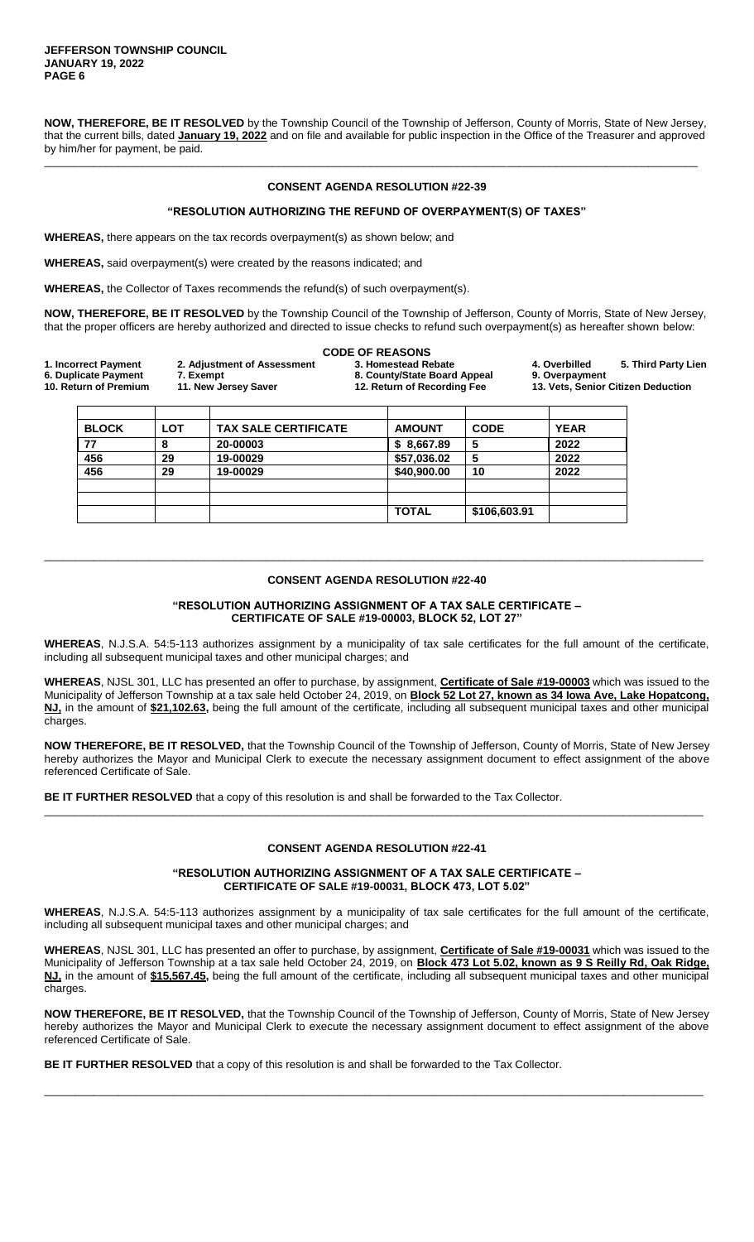**NOW, THEREFORE, BE IT RESOLVED** by the Township Council of the Township of Jefferson, County of Morris, State of New Jersey, that the current bills, dated **January 19, 2022** and on file and available for public inspection in the Office of the Treasurer and approved by him/her for payment, be paid.

\_\_\_\_\_\_\_\_\_\_\_\_\_\_\_\_\_\_\_\_\_\_\_\_\_\_\_\_\_\_\_\_\_\_\_\_\_\_\_\_\_\_\_\_\_\_\_\_\_\_\_\_\_\_\_\_\_\_\_\_\_\_\_\_\_\_\_\_\_\_\_\_\_\_\_\_\_\_\_\_\_\_\_\_\_\_\_\_\_\_\_\_\_\_\_\_\_\_\_\_\_\_\_\_\_\_

## **CONSENT AGENDA RESOLUTION #22-39**

# **"RESOLUTION AUTHORIZING THE REFUND OF OVERPAYMENT(S) OF TAXES"**

**WHEREAS,** there appears on the tax records overpayment(s) as shown below; and

**WHEREAS,** said overpayment(s) were created by the reasons indicated; and

**WHEREAS,** the Collector of Taxes recommends the refund(s) of such overpayment(s).

**NOW, THEREFORE, BE IT RESOLVED** by the Township Council of the Township of Jefferson, County of Morris, State of New Jersey, that the proper officers are hereby authorized and directed to issue checks to refund such overpayment(s) as hereafter shown below:

|                                               |                                   | <b>CODE OF REASONS</b>                                      |                |                                    |
|-----------------------------------------------|-----------------------------------|-------------------------------------------------------------|----------------|------------------------------------|
| 1. Incorrect Payment                          | 2. Adjustment of Assessment       | 3. Homestead Rebate                                         | 4. Overbilled  | 5. Third Party Lien                |
| 6. Duplicate Payment<br>10. Return of Premium | 7. Exempt<br>11. New Jersey Saver | 8. County/State Board Appeal<br>12. Return of Recording Fee | 9. Overpayment | 13. Vets, Senior Citizen Deduction |
|                                               |                                   |                                                             |                |                                    |

| <b>BLOCK</b> | LOT | <b>TAX SALE CERTIFICATE</b> | <b>AMOUNT</b> | <b>CODE</b>  | <b>YEAR</b> |
|--------------|-----|-----------------------------|---------------|--------------|-------------|
| 77           | 8   | 20-00003                    | \$8,667.89    | 5            | 2022        |
| 456          | 29  | 19-00029                    | \$57,036.02   | 5            | 2022        |
| 456          | 29  | 19-00029                    | \$40,900.00   | 10           | 2022        |
|              |     |                             |               |              |             |
|              |     |                             |               |              |             |
|              |     |                             | <b>TOTAL</b>  | \$106,603.91 |             |

## **CONSENT AGENDA RESOLUTION #22-40**

\_\_\_\_\_\_\_\_\_\_\_\_\_\_\_\_\_\_\_\_\_\_\_\_\_\_\_\_\_\_\_\_\_\_\_\_\_\_\_\_\_\_\_\_\_\_\_\_\_\_\_\_\_\_\_\_\_\_\_\_\_\_\_\_\_\_\_\_\_\_\_\_\_\_\_\_\_\_\_\_\_\_\_\_\_\_\_\_\_\_\_\_\_\_\_\_\_\_\_\_\_\_\_\_\_\_\_

### **"RESOLUTION AUTHORIZING ASSIGNMENT OF A TAX SALE CERTIFICATE – CERTIFICATE OF SALE #19-00003, BLOCK 52, LOT 27"**

**WHEREAS**, N.J.S.A. 54:5-113 authorizes assignment by a municipality of tax sale certificates for the full amount of the certificate, including all subsequent municipal taxes and other municipal charges; and

**WHEREAS**, NJSL 301, LLC has presented an offer to purchase, by assignment, **Certificate of Sale #19-00003** which was issued to the Municipality of Jefferson Township at a tax sale held October 24, 2019, on **Block 52 Lot 27, known as 34 Iowa Ave, Lake Hopatcong, NJ,** in the amount of **\$21,102.63,** being the full amount of the certificate, including all subsequent municipal taxes and other municipal charges.

**NOW THEREFORE, BE IT RESOLVED,** that the Township Council of the Township of Jefferson, County of Morris, State of New Jersey hereby authorizes the Mayor and Municipal Clerk to execute the necessary assignment document to effect assignment of the above referenced Certificate of Sale.

**BE IT FURTHER RESOLVED** that a copy of this resolution is and shall be forwarded to the Tax Collector.

## **CONSENT AGENDA RESOLUTION #22-41**

\_\_\_\_\_\_\_\_\_\_\_\_\_\_\_\_\_\_\_\_\_\_\_\_\_\_\_\_\_\_\_\_\_\_\_\_\_\_\_\_\_\_\_\_\_\_\_\_\_\_\_\_\_\_\_\_\_\_\_\_\_\_\_\_\_\_\_\_\_\_\_\_\_\_\_\_\_\_\_\_\_\_\_\_\_\_\_\_\_\_\_\_\_\_\_\_\_\_\_\_\_\_\_\_\_\_\_

### **"RESOLUTION AUTHORIZING ASSIGNMENT OF A TAX SALE CERTIFICATE – CERTIFICATE OF SALE #19-00031, BLOCK 473, LOT 5.02"**

**WHEREAS**, N.J.S.A. 54:5-113 authorizes assignment by a municipality of tax sale certificates for the full amount of the certificate, including all subsequent municipal taxes and other municipal charges; and

**WHEREAS**, NJSL 301, LLC has presented an offer to purchase, by assignment, **Certificate of Sale #19-00031** which was issued to the Municipality of Jefferson Township at a tax sale held October 24, 2019, on **Block 473 Lot 5.02, known as 9 S Reilly Rd, Oak Ridge, NJ,** in the amount of **\$15,567.45,** being the full amount of the certificate, including all subsequent municipal taxes and other municipal charges.

**NOW THEREFORE, BE IT RESOLVED,** that the Township Council of the Township of Jefferson, County of Morris, State of New Jersey hereby authorizes the Mayor and Municipal Clerk to execute the necessary assignment document to effect assignment of the above referenced Certificate of Sale.

\_\_\_\_\_\_\_\_\_\_\_\_\_\_\_\_\_\_\_\_\_\_\_\_\_\_\_\_\_\_\_\_\_\_\_\_\_\_\_\_\_\_\_\_\_\_\_\_\_\_\_\_\_\_\_\_\_\_\_\_\_\_\_\_\_\_\_\_\_\_\_\_\_\_\_\_\_\_\_\_\_\_\_\_\_\_\_\_\_\_\_\_\_\_\_\_\_\_\_\_\_\_\_\_\_\_\_

**BE IT FURTHER RESOLVED** that a copy of this resolution is and shall be forwarded to the Tax Collector.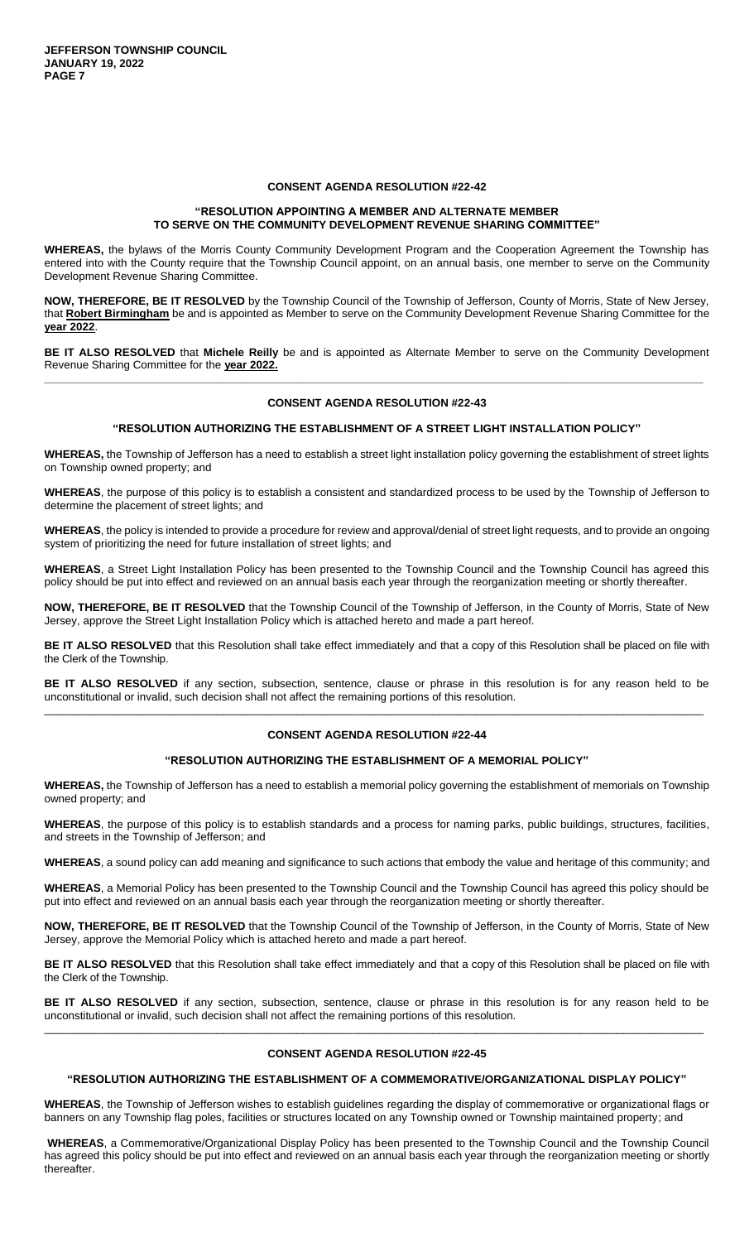## **CONSENT AGENDA RESOLUTION #22-42**

## **"RESOLUTION APPOINTING A MEMBER AND ALTERNATE MEMBER TO SERVE ON THE COMMUNITY DEVELOPMENT REVENUE SHARING COMMITTEE"**

**WHEREAS,** the bylaws of the Morris County Community Development Program and the Cooperation Agreement the Township has entered into with the County require that the Township Council appoint, on an annual basis, one member to serve on the Community Development Revenue Sharing Committee.

**NOW, THEREFORE, BE IT RESOLVED** by the Township Council of the Township of Jefferson, County of Morris, State of New Jersey, that **Robert Birmingham** be and is appointed as Member to serve on the Community Development Revenue Sharing Committee for the **year 2022**.

**BE IT ALSO RESOLVED** that **Michele Reilly** be and is appointed as Alternate Member to serve on the Community Development Revenue Sharing Committee for the **year 2022. \_\_\_\_\_\_\_\_\_\_\_\_\_\_\_\_\_\_\_\_\_\_\_\_\_\_\_\_\_\_\_\_\_\_\_\_\_\_\_\_\_\_\_\_\_\_\_\_\_\_\_\_\_\_\_\_\_\_\_\_\_\_\_\_\_\_\_\_\_\_\_\_\_\_\_\_\_\_\_\_\_\_\_\_\_\_\_\_\_\_\_\_\_\_\_\_\_\_\_\_\_\_\_\_\_\_\_**

#### **CONSENT AGENDA RESOLUTION #22-43**

#### **"RESOLUTION AUTHORIZING THE ESTABLISHMENT OF A STREET LIGHT INSTALLATION POLICY"**

**WHEREAS,** the Township of Jefferson has a need to establish a street light installation policy governing the establishment of street lights on Township owned property; and

**WHEREAS**, the purpose of this policy is to establish a consistent and standardized process to be used by the Township of Jefferson to determine the placement of street lights; and

**WHEREAS**, the policy is intended to provide a procedure for review and approval/denial of street light requests, and to provide an ongoing system of prioritizing the need for future installation of street lights; and

**WHEREAS**, a Street Light Installation Policy has been presented to the Township Council and the Township Council has agreed this policy should be put into effect and reviewed on an annual basis each year through the reorganization meeting or shortly thereafter.

**NOW, THEREFORE, BE IT RESOLVED** that the Township Council of the Township of Jefferson, in the County of Morris, State of New Jersey, approve the Street Light Installation Policy which is attached hereto and made a part hereof.

**BE IT ALSO RESOLVED** that this Resolution shall take effect immediately and that a copy of this Resolution shall be placed on file with the Clerk of the Township.

**BE IT ALSO RESOLVED** if any section, subsection, sentence, clause or phrase in this resolution is for any reason held to be unconstitutional or invalid, such decision shall not affect the remaining portions of this resolution. \_\_\_\_\_\_\_\_\_\_\_\_\_\_\_\_\_\_\_\_\_\_\_\_\_\_\_\_\_\_\_\_\_\_\_\_\_\_\_\_\_\_\_\_\_\_\_\_\_\_\_\_\_\_\_\_\_\_\_\_\_\_\_\_\_\_\_\_\_\_\_\_\_\_\_\_\_\_\_\_\_\_\_\_\_\_\_\_\_\_\_\_\_\_\_\_\_\_\_\_\_\_\_\_\_\_\_

## **CONSENT AGENDA RESOLUTION #22-44**

### **"RESOLUTION AUTHORIZING THE ESTABLISHMENT OF A MEMORIAL POLICY"**

**WHEREAS,** the Township of Jefferson has a need to establish a memorial policy governing the establishment of memorials on Township owned property; and

**WHEREAS**, the purpose of this policy is to establish standards and a process for naming parks, public buildings, structures, facilities, and streets in the Township of Jefferson; and

**WHEREAS**, a sound policy can add meaning and significance to such actions that embody the value and heritage of this community; and

**WHEREAS**, a Memorial Policy has been presented to the Township Council and the Township Council has agreed this policy should be put into effect and reviewed on an annual basis each year through the reorganization meeting or shortly thereafter.

**NOW, THEREFORE, BE IT RESOLVED** that the Township Council of the Township of Jefferson, in the County of Morris, State of New Jersey, approve the Memorial Policy which is attached hereto and made a part hereof.

**BE IT ALSO RESOLVED** that this Resolution shall take effect immediately and that a copy of this Resolution shall be placed on file with the Clerk of the Township.

**BE IT ALSO RESOLVED** if any section, subsection, sentence, clause or phrase in this resolution is for any reason held to be unconstitutional or invalid, such decision shall not affect the remaining portions of this resolution. \_\_\_\_\_\_\_\_\_\_\_\_\_\_\_\_\_\_\_\_\_\_\_\_\_\_\_\_\_\_\_\_\_\_\_\_\_\_\_\_\_\_\_\_\_\_\_\_\_\_\_\_\_\_\_\_\_\_\_\_\_\_\_\_\_\_\_\_\_\_\_\_\_\_\_\_\_\_\_\_\_\_\_\_\_\_\_\_\_\_\_\_\_\_\_\_\_\_\_\_\_\_\_\_\_\_\_

### **CONSENT AGENDA RESOLUTION #22-45**

### **"RESOLUTION AUTHORIZING THE ESTABLISHMENT OF A COMMEMORATIVE/ORGANIZATIONAL DISPLAY POLICY"**

**WHEREAS**, the Township of Jefferson wishes to establish guidelines regarding the display of commemorative or organizational flags or banners on any Township flag poles, facilities or structures located on any Township owned or Township maintained property; and

**WHEREAS**, a Commemorative/Organizational Display Policy has been presented to the Township Council and the Township Council has agreed this policy should be put into effect and reviewed on an annual basis each year through the reorganization meeting or shortly thereafter.